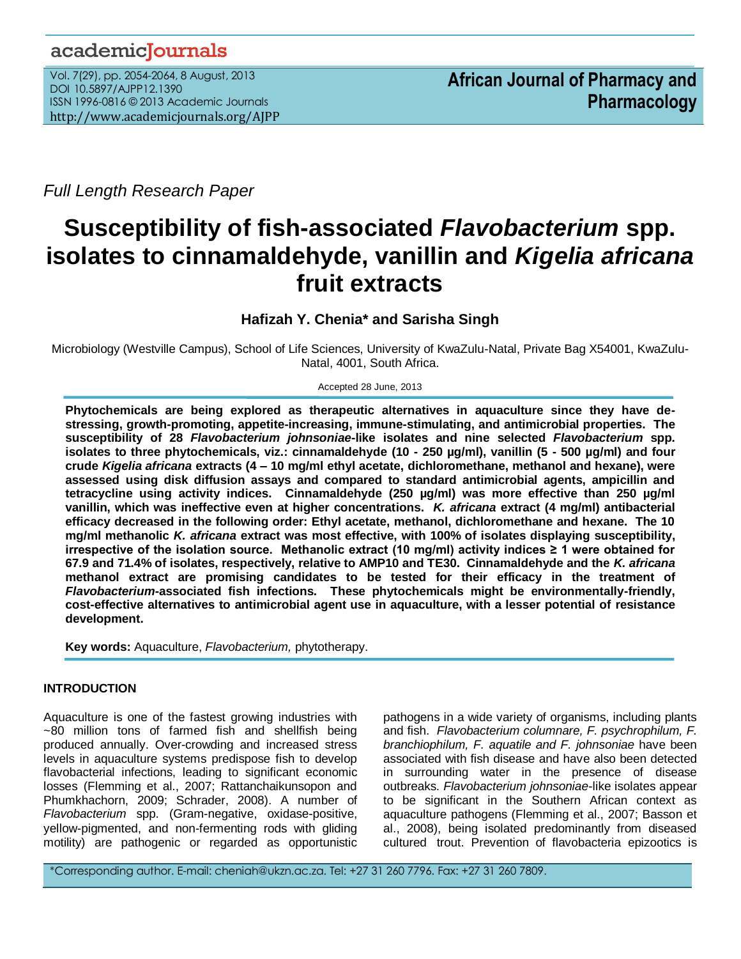# academicJournals

Vol. 7(29), pp. 2054-2064, 8 August, 2013 DOI 10.5897/AJPP12.1390 ISSN 1996-0816 © 2013 Academic Journals http://www.academicjournals.org/AJPP

*Full Length Research Paper*

# **Susceptibility of fish-associated** *Flavobacterium* **spp. isolates to cinnamaldehyde, vanillin and** *Kigelia africana* **fruit extracts**

**Hafizah Y. Chenia\* and Sarisha Singh**

Microbiology (Westville Campus), School of Life Sciences, University of KwaZulu-Natal, Private Bag X54001, KwaZulu-Natal, 4001, South Africa.

Accepted 28 June, 2013

**Phytochemicals are being explored as therapeutic alternatives in aquaculture since they have destressing, growth-promoting, appetite-increasing, immune-stimulating, and antimicrobial properties. The susceptibility of 28** *Flavobacterium johnsoniae***-like isolates and nine selected** *Flavobacterium* **spp. isolates to three phytochemicals, viz.: cinnamaldehyde (10 - 250 µg/ml), vanillin (5 - 500 µg/ml) and four crude** *Kigelia africana* **extracts (4 – 10 mg/ml ethyl acetate, dichloromethane, methanol and hexane), were assessed using disk diffusion assays and compared to standard antimicrobial agents, ampicillin and tetracycline using activity indices. Cinnamaldehyde (250 µg/ml) was more effective than 250 µg/ml vanillin, which was ineffective even at higher concentrations.** *K. africana* **extract (4 mg/ml) antibacterial efficacy decreased in the following order: Ethyl acetate, methanol, dichloromethane and hexane. The 10 mg/ml methanolic** *K. africana* **extract was most effective, with 100% of isolates displaying susceptibility, irrespective of the isolation source. Methanolic extract (10 mg/ml) activity indices ≥ 1 were obtained for 67.9 and 71.4% of isolates, respectively, relative to AMP10 and TE30. Cinnamaldehyde and the** *K. africana* **methanol extract are promising candidates to be tested for their efficacy in the treatment of**  *Flavobacterium***-associated fish infections. These phytochemicals might be environmentally-friendly, cost-effective alternatives to antimicrobial agent use in aquaculture, with a lesser potential of resistance development.**

**Key words:** Aquaculture, *Flavobacterium,* phytotherapy.

# **INTRODUCTION**

Aquaculture is one of the fastest growing industries with ~80 million tons of farmed fish and shellfish being produced annually. Over-crowding and increased stress levels in aquaculture systems predispose fish to develop flavobacterial infections, leading to significant economic losses (Flemming et al., 2007; Rattanchaikunsopon and Phumkhachorn, 2009; Schrader, 2008). A number of *Flavobacterium* spp. (Gram-negative, oxidase-positive, yellow-pigmented, and non-fermenting rods with gliding motility) are pathogenic or regarded as opportunistic pathogens in a wide variety of organisms, including plants and fish. *Flavobacterium columnare, F. psychrophilum, F. branchiophilum, F. aquatile and F. johnsoniae* have been associated with fish disease and have also been detected in surrounding water in the presence of disease outbreaks. *Flavobacterium johnsoniae*-like isolates appear to be significant in the Southern African context as aquaculture pathogens (Flemming et al., 2007; Basson et al., 2008), being isolated predominantly from diseased cultured trout. Prevention of flavobacteria epizootics is

\*Corresponding author. E-mail: cheniah@ukzn.ac.za. Tel: +27 31 260 7796. Fax: +27 31 260 7809.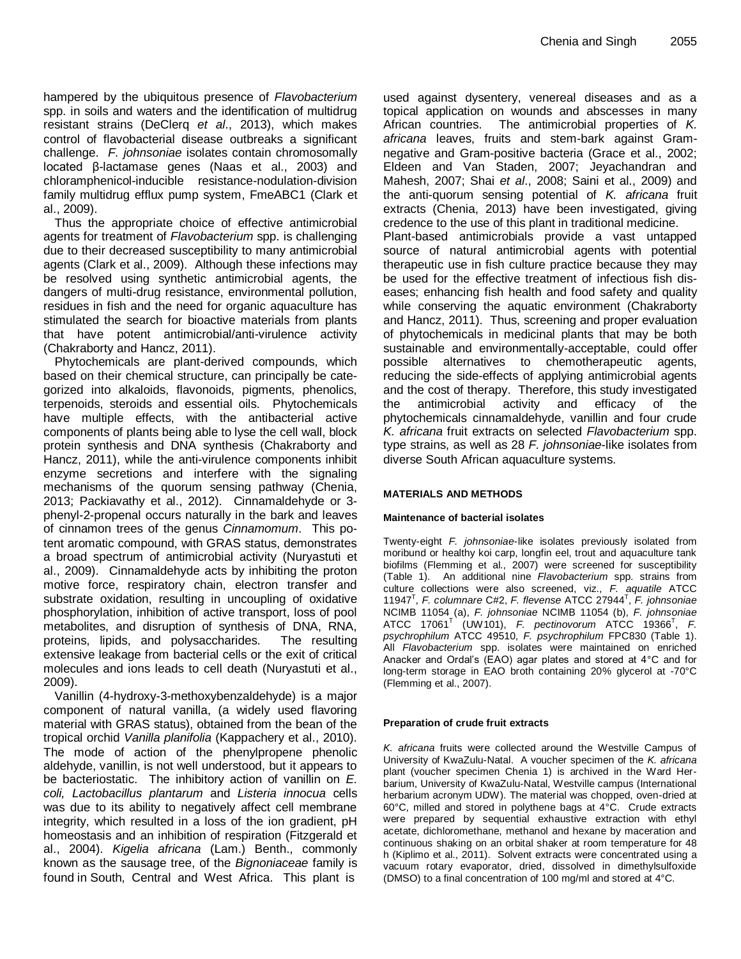hampered by the ubiquitous presence of *Flavobacterium* spp. in soils and waters and the identification of multidrug resistant strains (DeClerq *et al*., 2013), which makes control of flavobacterial disease outbreaks a significant challenge. *F. johnsoniae* isolates contain chromosomally located β-lactamase genes (Naas et al., 2003) and chloramphenicol-inducible resistance-nodulation-division family multidrug efflux pump system, FmeABC1 (Clark et al., 2009).

Thus the appropriate choice of effective antimicrobial agents for treatment of *Flavobacterium* spp. is challenging due to their decreased susceptibility to many antimicrobial agents (Clark et al., 2009). Although these infections may be resolved using synthetic antimicrobial agents, the dangers of multi-drug resistance, environmental pollution, residues in fish and the need for organic aquaculture has stimulated the search for bioactive materials from plants that have potent antimicrobial/anti-virulence activity (Chakraborty and Hancz, 2011).

Phytochemicals are plant-derived compounds, which based on their chemical structure, can principally be categorized into alkaloids, flavonoids, pigments, phenolics, terpenoids, steroids and essential oils. Phytochemicals have multiple effects, with the antibacterial active components of plants being able to lyse the cell wall, block protein synthesis and DNA synthesis (Chakraborty and Hancz, 2011), while the anti-virulence components inhibit enzyme secretions and interfere with the signaling mechanisms of the quorum sensing pathway (Chenia, 2013; Packiavathy et al., 2012). Cinnamaldehyde or 3 phenyl-2-propenal occurs naturally in the bark and leaves of cinnamon trees of the genus *Cinnamomum*. This potent aromatic compound, with GRAS status, demonstrates a broad spectrum of antimicrobial activity (Nuryastuti et al., 2009).Cinnamaldehyde acts by inhibiting the proton motive force, respiratory chain, electron transfer and substrate oxidation, resulting in uncoupling of oxidative phosphorylation, inhibition of active transport, loss of pool metabolites, and disruption of synthesis of DNA, RNA, proteins, lipids, and polysaccharides. The resulting extensive leakage from bacterial cells or the exit of critical molecules and ions leads to cell death (Nuryastuti et al., 2009).

Vanillin (4-hydroxy-3-methoxybenzaldehyde) is a major component of natural vanilla, (a widely used flavoring material with GRAS status), obtained from the bean of the tropical orchid *Vanilla planifolia* (Kappachery et al., 2010). The mode of action of the phenylpropene phenolic aldehyde, vanillin, is not well understood, but it appears to be bacteriostatic. The inhibitory action of vanillin on *E. coli, Lactobacillus plantarum* and *Listeria innocua* cells was due to its ability to negatively affect cell membrane integrity, which resulted in a loss of the ion gradient, pH homeostasis and an inhibition of respiration (Fitzgerald et al., 2004). *Kigelia africana* (Lam.) Benth., commonly known as the sausage tree, of the *Bignoniaceae* family is found in South, Central and West Africa. This plant is

used against dysentery, venereal diseases and as a topical application on wounds and abscesses in many African countries. The antimicrobial properties of *K. africana* leaves, fruits and stem-bark against Gramnegative and Gram-positive bacteria (Grace et al., 2002; Eldeen and Van Staden, 2007; Jeyachandran and Mahesh, 2007; Shai *et al*., 2008; Saini et al., 2009) and the anti-quorum sensing potential of *K. africana* fruit extracts (Chenia, 2013) have been investigated, giving credence to the use of this plant in traditional medicine. Plant-based antimicrobials provide a vast untapped source of natural antimicrobial agents with potential therapeutic use in fish culture practice because they may be used for the effective treatment of infectious fish diseases; enhancing fish health and food safety and quality while conserving the aquatic environment (Chakraborty and Hancz, 2011). Thus, screening and proper evaluation of phytochemicals in medicinal plants that may be both sustainable and environmentally-acceptable, could offer possible alternatives to chemotherapeutic agents, reducing the side-effects of applying antimicrobial agents

and the cost of therapy. Therefore, this study investigated the antimicrobial activity and efficacy of the phytochemicals cinnamaldehyde, vanillin and four crude *K. africana* fruit extracts on selected *Flavobacterium* spp. type strains, as well as 28 *F. johnsoniae*-like isolates from diverse South African aquaculture systems.

## **MATERIALS AND METHODS**

## **Maintenance of bacterial isolates**

Twenty-eight *F. johnsoniae*-like isolates previously isolated from moribund or healthy koi carp, longfin eel, trout and aquaculture tank biofilms (Flemming et al., 2007) were screened for susceptibility (Table 1). An additional nine *Flavobacterium* spp. strains from culture collections were also screened, viz., *F. aquatile* ATCC 11947<sup>T</sup> , *F. columnare* C#2, *F. flevense* ATCC 27944<sup>T</sup> , *F. johnsoniae* NCIMB 11054 (a), *F. johnsoniae* NCIMB 11054 (b), *F. johnsoniae* ATCC 17061<sup>T</sup> (UW101), *F. pectinovorum* ATCC 19366<sup>T</sup> , *F. psychrophilum* ATCC 49510, *F. psychrophilum* FPC830 (Table 1). All *Flavobacterium* spp. isolates were maintained on enriched Anacker and Ordal's (EAO) agar plates and stored at 4°C and for long-term storage in EAO broth containing 20% glycerol at -70°C (Flemming et al., 2007).

#### **Preparation of crude fruit extracts**

*K. africana* fruits were collected around the Westville Campus of University of KwaZulu-Natal. A voucher specimen of the *K. africana* plant (voucher specimen Chenia 1) is archived in the Ward Herbarium, University of KwaZulu-Natal, Westville campus (International herbarium acronym UDW). The material was chopped, oven-dried at 60°C, milled and stored in polythene bags at 4°C. Crude extracts were prepared by sequential exhaustive extraction with ethyl acetate, dichloromethane, methanol and hexane by maceration and continuous shaking on an orbital shaker at room temperature for 48 h (Kiplimo et al., 2011). Solvent extracts were concentrated using a vacuum rotary evaporator, dried, dissolved in dimethylsulfoxide (DMSO) to a final concentration of 100 mg/ml and stored at 4°C.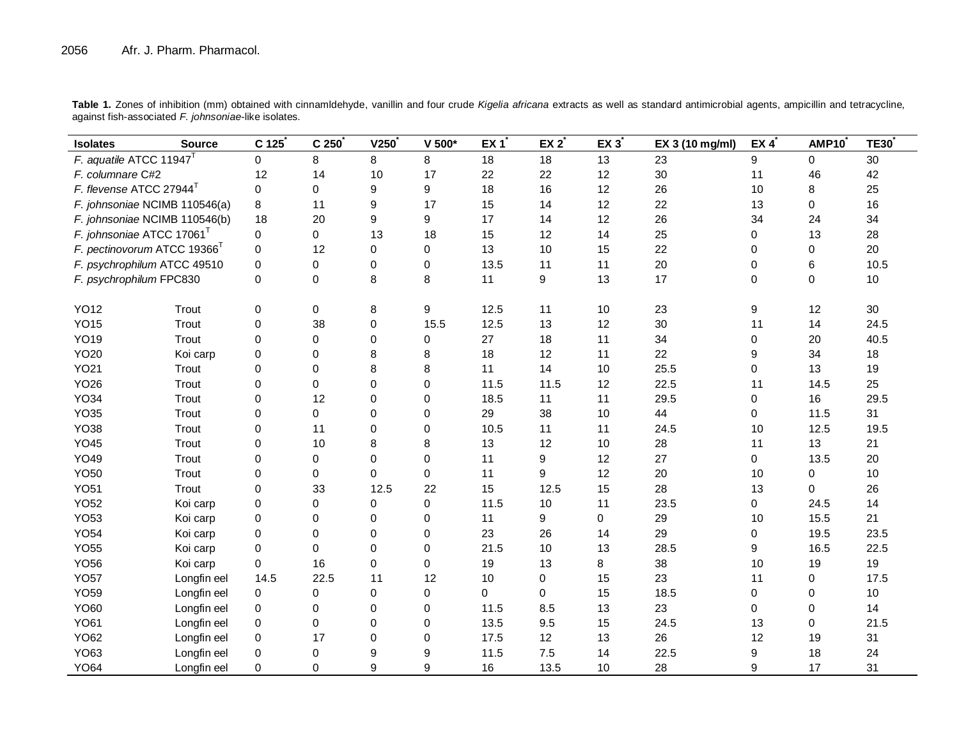| <b>Isolates</b>                         | <b>Source</b> | C 125       | C <sub>250</sub> | V250        | $V$ 500 $*$ | EX 1 | $EX 2^*$ | $EX 3$ <sup>*</sup> | EX 3 (10 mg/ml) | EX $4^{\overline{x}}$ | AMP10    | <b>TE30</b> |
|-----------------------------------------|---------------|-------------|------------------|-------------|-------------|------|----------|---------------------|-----------------|-----------------------|----------|-------------|
| F. aquatile ATCC 11947 <sup>T</sup>     |               | $\Omega$    | 8                | 8           | 8           | 18   | 18       | 13                  | 23              | 9                     | 0        | 30          |
| F. columnare C#2                        |               | 12          | 14               | 10          | 17          | 22   | 22       | 12                  | 30              | 11                    | 46       | 42          |
| F. flevense ATCC 27944 <sup>T</sup>     |               | $\Omega$    | 0                | 9           | 9           | 18   | 16       | 12                  | 26              | 10                    | 8        | 25          |
| F. johnsoniae NCIMB 110546(a)           |               | 8           | 11               | 9           | 17          | 15   | 14       | 12                  | 22              | 13                    | $\Omega$ | 16          |
| F. johnsoniae NCIMB 110546(b)           |               | 18          | 20               | 9           | 9           | 17   | 14       | 12                  | 26              | 34                    | 24       | 34          |
| F. johnsoniae ATCC 17061 <sup>T</sup>   |               | 0           | 0                | 13          | 18          | 15   | 12       | 14                  | 25              | 0                     | 13       | 28          |
| F. pectinovorum ATCC 19366 <sup>T</sup> |               | $\mathbf 0$ | 12               | $\mathbf 0$ | $\Omega$    | 13   | 10       | 15                  | 22              | 0                     | 0        | 20          |
| F. psychrophilum ATCC 49510             |               | $\Omega$    | 0                | $\mathbf 0$ | $\mathbf 0$ | 13.5 | 11       | 11                  | 20              | 0                     | 6        | 10.5        |
| F. psychrophilum FPC830                 |               | $\Omega$    | 0                | 8           | 8           | 11   | 9        | 13                  | 17              | $\mathbf 0$           | $\Omega$ | 10          |
|                                         |               |             |                  |             |             |      |          |                     |                 |                       |          |             |
| <b>YO12</b>                             | Trout         | $\pmb{0}$   | 0                | 8           | 9           | 12.5 | 11       | 10                  | 23              | 9                     | 12       | 30          |
| <b>YO15</b>                             | Trout         | $\mathbf 0$ | 38               | 0           | 15.5        | 12.5 | 13       | 12                  | 30              | 11                    | 14       | 24.5        |
| <b>YO19</b>                             | Trout         | $\Omega$    | 0                | $\mathbf 0$ | 0           | 27   | 18       | 11                  | 34              | 0                     | 20       | 40.5        |
| <b>YO20</b>                             | Koi carp      | $\Omega$    | 0                | 8           | 8           | 18   | 12       | 11                  | 22              | 9                     | 34       | 18          |
| <b>YO21</b>                             | Trout         | $\Omega$    | $\Omega$         | 8           | 8           | 11   | 14       | 10                  | 25.5            | 0                     | 13       | 19          |
| <b>YO26</b>                             | Trout         | $\Omega$    | $\overline{0}$   | $\Omega$    | $\Omega$    | 11.5 | 11.5     | 12                  | 22.5            | 11                    | 14.5     | 25          |
| <b>YO34</b>                             | Trout         | $\Omega$    | 12               | $\Omega$    | $\Omega$    | 18.5 | 11       | 11                  | 29.5            | 0                     | 16       | 29.5        |
| <b>YO35</b>                             | Trout         | $\mathbf 0$ | 0                | $\mathbf 0$ | 0           | 29   | 38       | 10                  | 44              | 0                     | 11.5     | 31          |
| <b>YO38</b>                             | Trout         | $\mathbf 0$ | 11               | $\mathbf 0$ | $\mathbf 0$ | 10.5 | 11       | 11                  | 24.5            | 10                    | 12.5     | 19.5        |
| <b>YO45</b>                             | Trout         | $\mathbf 0$ | 10               | 8           | 8           | 13   | 12       | 10                  | 28              | 11                    | 13       | 21          |
| <b>YO49</b>                             | Trout         | $\mathbf 0$ | 0                | $\mathbf 0$ | $\Omega$    | 11   | 9        | 12                  | 27              | 0                     | 13.5     | 20          |
| <b>YO50</b>                             | Trout         | $\Omega$    | 0                | $\Omega$    | 0           | 11   | 9        | 12                  | 20              | 10                    | 0        | 10          |
| <b>YO51</b>                             | Trout         | $\Omega$    | 33               | 12.5        | 22          | 15   | 12.5     | 15                  | 28              | 13                    | $\Omega$ | 26          |
| <b>YO52</b>                             | Koi carp      | 0           | 0                | 0           | $\mathbf 0$ | 11.5 | 10       | 11                  | 23.5            | 0                     | 24.5     | 14          |
| <b>YO53</b>                             | Koi carp      | 0           | 0                | 0           | 0           | 11   | 9        | $\mathbf 0$         | 29              | 10                    | 15.5     | 21          |
| <b>YO54</b>                             | Koi carp      | $\Omega$    | $\Omega$         | $\Omega$    | $\Omega$    | 23   | 26       | 14                  | 29              | 0                     | 19.5     | 23.5        |
| <b>YO55</b>                             | Koi carp      | $\Omega$    | $\Omega$         | $\Omega$    | $\Omega$    | 21.5 | 10       | 13                  | 28.5            | 9                     | 16.5     | 22.5        |
| <b>YO56</b>                             | Koi carp      | $\Omega$    | 16               | $\Omega$    | $\Omega$    | 19   | 13       | 8                   | 38              | 10                    | 19       | 19          |
| <b>YO57</b>                             | Longfin eel   | 14.5        | 22.5             | 11          | 12          | 10   | $\Omega$ | 15                  | 23              | 11                    | 0        | 17.5        |
| <b>YO59</b>                             | Longfin eel   | $\mathbf 0$ | 0                | 0           | 0           | 0    | 0        | 15                  | 18.5            | 0                     | 0        | 10          |
| YO60                                    | Longfin eel   | $\Omega$    | 0                | $\Omega$    | $\mathbf 0$ | 11.5 | 8.5      | 13                  | 23              | 0                     | $\Omega$ | 14          |
| <b>YO61</b>                             | Longfin eel   | $\Omega$    | $\Omega$         | $\Omega$    | $\Omega$    | 13.5 | 9.5      | 15                  | 24.5            | 13                    | $\Omega$ | 21.5        |
| <b>YO62</b>                             | Longfin eel   | $\Omega$    | 17               | $\Omega$    | $\mathbf 0$ | 17.5 | 12       | 13                  | 26              | 12                    | 19       | 31          |
| YO63                                    | Longfin eel   | $\Omega$    | 0                | 9           | 9           | 11.5 | 7.5      | 14                  | 22.5            | 9                     | 18       | 24          |
| <b>YO64</b>                             | Longfin eel   | $\Omega$    | $\Omega$         | 9           | 9           | 16   | 13.5     | 10                  | 28              | 9                     | 17       | 31          |

**Table 1.** Zones of inhibition (mm) obtained with cinnamldehyde, vanillin and four crude *Kigelia africana* extracts as well as standard antimicrobial agents, ampicillin and tetracycline, against fish-associated *F. johnsoniae*-like isolates.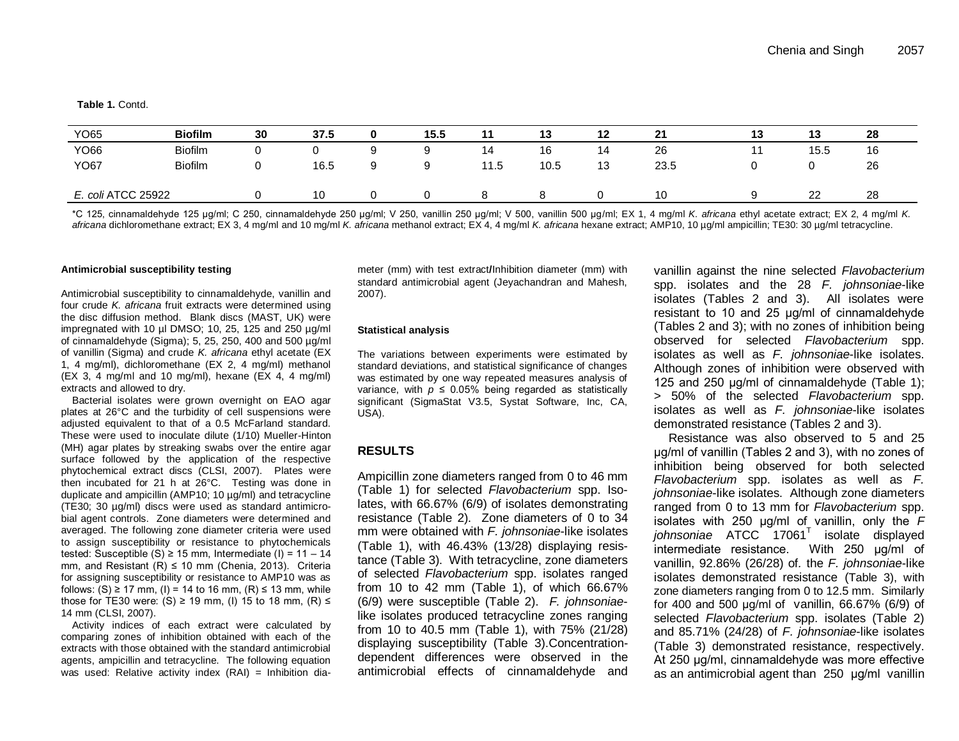**Table 1.** Contd.

| YO65               | <b>Biofilm</b> | 30     | 37.5 | 0 | 15.5 |      | 13   | 12 | 21   | 13 | 13   | 28 |
|--------------------|----------------|--------|------|---|------|------|------|----|------|----|------|----|
| YO66               | <b>Biofilm</b> | ັ      |      |   |      | 14   | 16   | 14 | 26   |    | 15.5 | 16 |
| <b>YO67</b>        | <b>Biofilm</b> | ⌒<br>v | 16.5 | a |      | 11.5 | 10.5 | 13 | 23.5 |    |      | 26 |
| E. coli ATCC 25922 |                |        | 10   |   |      |      |      |    | 10   |    | 22   | 28 |

\*C 125, cinnamaldehyde 125 μg/ml; C 250, cinnamaldehyde 250 μg/ml; V 250, vanillin 250 μg/ml; V 500, vanillin 500 μg/ml; EX 1, 4 mg/ml *K. africana* ethyl acetate extract; EX 2, 4 mg/ml *K. africana* dichloromethane extract; EX 3, 4 mg/ml and 10 mg/ml *K. africana* methanol extract; EX 4, 4 mg/ml *K. africana* hexane extract; AMP10, 10 µg/ml ampicillin; TE30: 30 µg/ml tetracycline.

#### **Antimicrobial susceptibility testing**

Antimicrobial susceptibility to cinnamaldehyde, vanillin and four crude *K. africana* fruit extracts were determined using the disc diffusion method. Blank discs (MAST, UK) were impregnated with 10 µl DMSO; 10, 25, 125 and 250 µg/ml of cinnamaldehyde (Sigma); 5, 25, 250, 400 and 500 µg/ml of vanillin (Sigma) and crude *K. africana* ethyl acetate (EX 1, 4 mg/ml), dichloromethane (EX 2, 4 mg/ml) methanol (EX 3, 4 mg/ml and 10 mg/ml), hexane (EX 4, 4 mg/ml) extracts and allowed to dry.

Bacterial isolates were grown overnight on EAO agar plates at 26°C and the turbidity of cell suspensions were adjusted equivalent to that of a 0.5 McFarland standard. These were used to inoculate dilute (1/10) Mueller-Hinton (MH) agar plates by streaking swabs over the entire agar surface followed by the application of the respective phytochemical extract discs (CLSI, 2007). Plates were then incubated for 21 h at 26°C. Testing was done in duplicate and ampicillin (AMP10; 10 µg/ml) and tetracycline (TE30; 30 µg/ml) discs were used as standard antimicrobial agent controls. Zone diameters were determined and averaged. The following zone diameter criteria were used to assign susceptibility or resistance to phytochemicals tested: Susceptible (S)  $\geq$  15 mm, Intermediate (I) = 11 - 14 mm, and Resistant  $(R) \le 10$  mm (Chenia, 2013). Criteria for assigning susceptibility or resistance to AMP10 was as follows: (S) ≥ 17 mm, (I) = 14 to 16 mm, (R) ≤ 13 mm, while those for TE30 were: (S)  $\geq$  19 mm, (I) 15 to 18 mm, (R)  $\leq$ 14 mm (CLSI, 2007).

Activity indices of each extract were calculated by comparing zones of inhibition obtained with each of the extracts with those obtained with the standard antimicrobial agents, ampicillin and tetracycline. The following equation was used: Relative activity index (RAI) = Inhibition diameter (mm) with test extract**/**Inhibition diameter (mm) with standard antimicrobial agent (Jeyachandran and Mahesh, 2007).

#### **Statistical analysis**

The variations between experiments were estimated by standard deviations, and statistical significance of changes was estimated by one way repeated measures analysis of variance, with  $p \le 0.05\%$  being regarded as statistically significant (SigmaStat V3.5, Systat Software, Inc, CA, USA).

# **RESULTS**

Ampicillin zone diameters ranged from 0 to 46 mm (Table 1) for selected *Flavobacterium* spp. Isolates, with 66.67% (6/9) of isolates demonstrating resistance (Table 2). Zone diameters of 0 to 34 mm were obtained with *F. johnsoniae*-like isolates (Table 1), with 46.43% (13/28) displaying resistance (Table 3). With tetracycline, zone diameters of selected *Flavobacterium* spp. isolates ranged from 10 to 42 mm (Table 1), of which 66.67% (6/9) were susceptible (Table 2). *F. johnsoniae*like isolates produced tetracycline zones ranging from 10 to 40.5 mm (Table 1), with 75% (21/28) displaying susceptibility (Table 3).Concentrationdependent differences were observed in the antimicrobial effects of cinnamaldehyde and

vanillin against the nine selected *Flavobacterium* spp. isolates and the 28 *F. johnsoniae*-like isolates (Tables 2 and 3). All isolates were resistant to 10 and 25 μg/ml of cinnamaldehyde (Tables 2 and 3); with no zones of inhibition being observed for selected *Flavobacterium* spp. isolates as well as *F. johnsoniae*-like isolates. Although zones of inhibition were observed with 125 and 250 μg/ml of cinnamaldehyde (Table 1); > 50% of the selected *Flavobacterium* spp. isolates as well as *F. johnsoniae*-like isolates demonstrated resistance (Tables 2 and 3).

Resistance was also observed to 5 and 25 μg/ml of vanillin (Tables 2 and 3), with no zones of inhibition being observed for both selected *Flavobacterium* spp. isolates as well as *F. johnsoniae*-like isolates. Although zone diameters ranged from 0 to 13 mm for *Flavobacterium* spp. isolates with 250 μg/ml of vanillin, only the *F johnsoniae* ATCC 17061<sup>T</sup> isolate displayed intermediate resistance. With 250 μg/ml of vanillin, 92.86% (26/28) of*.* the *F. johnsoniae*-like isolates demonstrated resistance (Table 3), with zone diameters ranging from 0 to 12.5 mm. Similarly for 400 and 500 μg/ml of vanillin, 66.67% (6/9) of selected *Flavobacterium* spp. isolates (Table 2) and 85.71% (24/28) of *F. johnsoniae*-like isolates (Table 3) demonstrated resistance, respectively. At 250 μg/ml, cinnamaldehyde was more effective as an antimicrobial agent than 250 μg/ml vanillin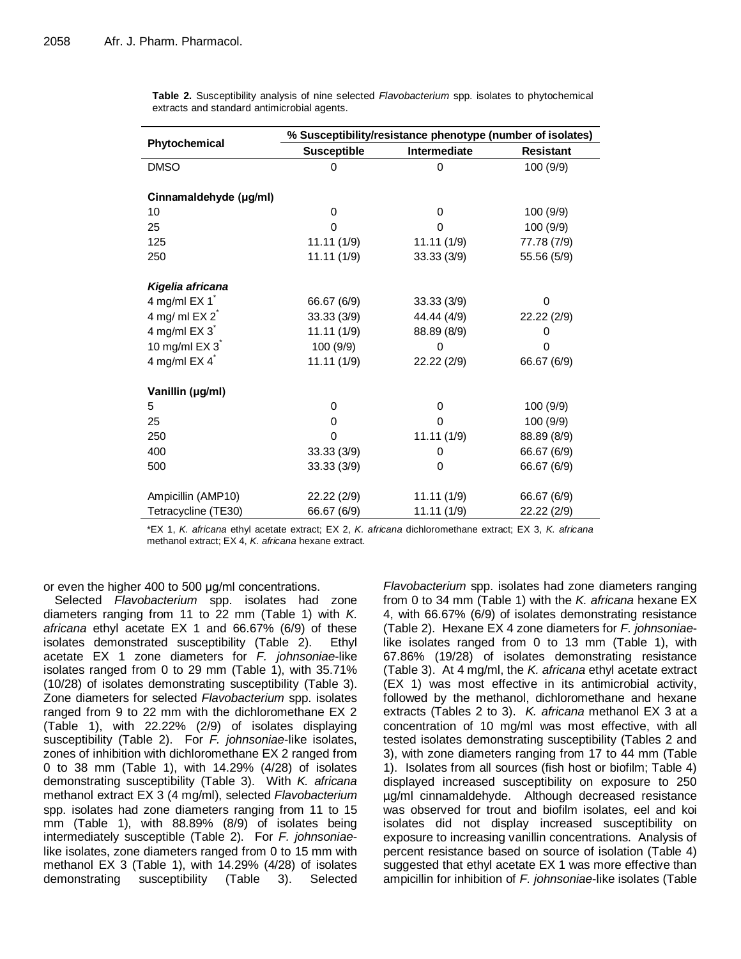|                        | % Susceptibility/resistance phenotype (number of isolates) |              |                  |  |  |  |  |  |  |  |  |
|------------------------|------------------------------------------------------------|--------------|------------------|--|--|--|--|--|--|--|--|
| Phytochemical          | <b>Susceptible</b>                                         | Intermediate | <b>Resistant</b> |  |  |  |  |  |  |  |  |
| <b>DMSO</b>            | 0                                                          | 0            | 100 (9/9)        |  |  |  |  |  |  |  |  |
|                        |                                                            |              |                  |  |  |  |  |  |  |  |  |
| Cinnamaldehyde (µg/ml) |                                                            |              |                  |  |  |  |  |  |  |  |  |
| 10                     | 0                                                          | $\Omega$     | 100 (9/9)        |  |  |  |  |  |  |  |  |
| 25                     | 0                                                          | 0            | 100 (9/9)        |  |  |  |  |  |  |  |  |
| 125                    | 11.11(1/9)                                                 | 11.11(1/9)   | 77.78 (7/9)      |  |  |  |  |  |  |  |  |
| 250                    | 11.11(1/9)                                                 | 33.33(3/9)   | 55.56 (5/9)      |  |  |  |  |  |  |  |  |
|                        |                                                            |              |                  |  |  |  |  |  |  |  |  |
| Kigelia africana       |                                                            |              |                  |  |  |  |  |  |  |  |  |
| 4 mg/ml $EX 1^*$       | 66.67 (6/9)                                                | 33.33(3/9)   | 0                |  |  |  |  |  |  |  |  |
| 4 mg/ml $EX 2^*$       | 33.33 (3/9)                                                | 44.44 (4/9)  | 22.22 (2/9)      |  |  |  |  |  |  |  |  |
| 4 mg/ml $EX 3^7$       | 11.11(1/9)                                                 | 88.89 (8/9)  | 0                |  |  |  |  |  |  |  |  |
| 10 mg/ml $EX 3^"$      | 100 (9/9)                                                  | 0            | 0                |  |  |  |  |  |  |  |  |
| 4 mg/ml $EX 4^*$       | 11.11(1/9)                                                 | 22.22 (2/9)  | 66.67 (6/9)      |  |  |  |  |  |  |  |  |
|                        |                                                            |              |                  |  |  |  |  |  |  |  |  |
| Vanillin (µg/ml)       |                                                            |              |                  |  |  |  |  |  |  |  |  |
| 5                      | 0                                                          | $\Omega$     | 100 (9/9)        |  |  |  |  |  |  |  |  |
| 25                     | 0                                                          | 0            | 100 (9/9)        |  |  |  |  |  |  |  |  |
| 250                    | 0                                                          | 11.11(1/9)   | 88.89 (8/9)      |  |  |  |  |  |  |  |  |
| 400                    | 33.33 (3/9)                                                | 0            | 66.67 (6/9)      |  |  |  |  |  |  |  |  |
| 500                    | 33.33 (3/9)                                                | $\Omega$     | 66.67 (6/9)      |  |  |  |  |  |  |  |  |
|                        |                                                            |              |                  |  |  |  |  |  |  |  |  |
| Ampicillin (AMP10)     | 22.22 (2/9)                                                | 11.11(1/9)   | 66.67 (6/9)      |  |  |  |  |  |  |  |  |
| Tetracycline (TE30)    | 66.67 (6/9)                                                | 11.11(1/9)   | 22.22 (2/9)      |  |  |  |  |  |  |  |  |

**Table 2.** Susceptibility analysis of nine selected *Flavobacterium* spp. isolates to phytochemical extracts and standard antimicrobial agents.

\*EX 1, *K. africana* ethyl acetate extract; EX 2, *K. africana* dichloromethane extract; EX 3, *K. africana* methanol extract; EX 4, *K. africana* hexane extract.

or even the higher 400 to 500 μg/ml concentrations.

Selected *Flavobacterium* spp. isolates had zone diameters ranging from 11 to 22 mm (Table 1) with *K. africana* ethyl acetate EX 1 and 66.67% (6/9) of these isolates demonstrated susceptibility (Table 2). Ethyl acetate EX 1 zone diameters for *F. johnsoniae*-like isolates ranged from 0 to 29 mm (Table 1), with 35.71% (10/28) of isolates demonstrating susceptibility (Table 3). Zone diameters for selected *Flavobacterium* spp. isolates ranged from 9 to 22 mm with the dichloromethane EX 2 (Table 1), with 22.22% (2/9) of isolates displaying susceptibility (Table 2). For *F. johnsoniae*-like isolates, zones of inhibition with dichloromethane EX 2 ranged from 0 to 38 mm (Table 1), with 14.29% (4/28) of isolates demonstrating susceptibility (Table 3). With *K. africana* methanol extract EX 3 (4 mg/ml), selected *Flavobacterium* spp. isolates had zone diameters ranging from 11 to 15 mm (Table 1), with 88.89% (8/9) of isolates being intermediately susceptible (Table 2). For *F. johnsoniae*like isolates, zone diameters ranged from 0 to 15 mm with methanol EX 3 (Table 1), with 14.29% (4/28) of isolates demonstrating susceptibility (Table 3). Selected

*Flavobacterium* spp. isolates had zone diameters ranging from 0 to 34 mm (Table 1) with the *K. africana* hexane EX 4, with 66.67% (6/9) of isolates demonstrating resistance (Table 2). Hexane EX 4 zone diameters for *F. johnsoniae*like isolates ranged from 0 to 13 mm (Table 1), with 67.86% (19/28) of isolates demonstrating resistance (Table 3). At 4 mg/ml, the *K. africana* ethyl acetate extract (EX 1) was most effective in its antimicrobial activity, followed by the methanol, dichloromethane and hexane extracts (Tables 2 to 3). *K. africana* methanol EX 3 at a concentration of 10 mg/ml was most effective, with all tested isolates demonstrating susceptibility (Tables 2 and 3), with zone diameters ranging from 17 to 44 mm (Table 1). Isolates from all sources (fish host or biofilm; Table 4) displayed increased susceptibility on exposure to 250 µg/ml cinnamaldehyde. Although decreased resistance was observed for trout and biofilm isolates, eel and koi isolates did not display increased susceptibility on exposure to increasing vanillin concentrations. Analysis of percent resistance based on source of isolation (Table 4) suggested that ethyl acetate EX 1 was more effective than ampicillin for inhibition of *F. johnsoniae*-like isolates (Table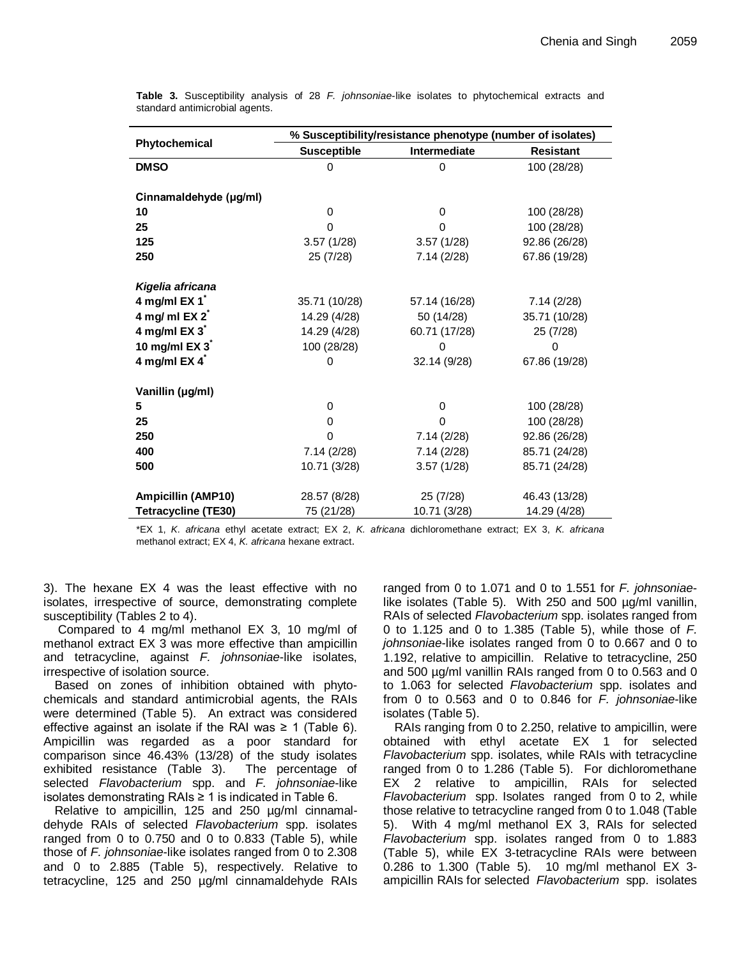|                            |                    | % Susceptibility/resistance phenotype (number of isolates) |                  |  |  |
|----------------------------|--------------------|------------------------------------------------------------|------------------|--|--|
| Phytochemical              | <b>Susceptible</b> | Intermediate                                               | <b>Resistant</b> |  |  |
| <b>DMSO</b>                | 0                  | 0                                                          | 100 (28/28)      |  |  |
|                            |                    |                                                            |                  |  |  |
| Cinnamaldehyde (µg/ml)     |                    |                                                            |                  |  |  |
| 10                         | $\Omega$           | 0                                                          | 100 (28/28)      |  |  |
| 25                         | $\Omega$           | 0                                                          | 100 (28/28)      |  |  |
| 125                        | 3.57(1/28)         | 3.57(1/28)                                                 | 92.86 (26/28)    |  |  |
| 250                        | 25 (7/28)          | 7.14(2/28)                                                 | 67.86 (19/28)    |  |  |
|                            |                    |                                                            |                  |  |  |
| Kigelia africana           |                    |                                                            |                  |  |  |
| 4 mg/ml EX 1               | 35.71 (10/28)      | 57.14 (16/28)                                              | 7.14(2/28)       |  |  |
| 4 mg/ml $EX 2^*$           | 14.29 (4/28)       | 50 (14/28)                                                 | 35.71 (10/28)    |  |  |
| 4 mg/ml EX 3 <sup>*</sup>  | 14.29 (4/28)       | 60.71 (17/28)                                              | 25 (7/28)        |  |  |
| 10 mg/ml EX 3              | 100 (28/28)        | 0                                                          | 0                |  |  |
| 4 mg/ml $EX 4^"$           | 0                  | 32.14 (9/28)                                               | 67.86 (19/28)    |  |  |
|                            |                    |                                                            |                  |  |  |
| Vanillin (µg/ml)           |                    |                                                            |                  |  |  |
| 5                          | $\Omega$           | 0                                                          | 100 (28/28)      |  |  |
| 25                         | 0                  | 0                                                          | 100 (28/28)      |  |  |
| 250                        | 0                  | 7.14(2/28)                                                 | 92.86 (26/28)    |  |  |
| 400                        | 7.14(2/28)         | 7.14(2/28)                                                 | 85.71 (24/28)    |  |  |
| 500                        | 10.71 (3/28)       | 3.57(1/28)                                                 | 85.71 (24/28)    |  |  |
| <b>Ampicillin (AMP10)</b>  |                    | 25 (7/28)                                                  | 46.43 (13/28)    |  |  |
|                            | 28.57 (8/28)       |                                                            |                  |  |  |
| <b>Tetracycline (TE30)</b> | 75 (21/28)         | 10.71 (3/28)                                               | 14.29 (4/28)     |  |  |

**Table 3.** Susceptibility analysis of 28 *F. johnsoniae*-like isolates to phytochemical extracts and standard antimicrobial agents.

\*EX 1, *K. africana* ethyl acetate extract; EX 2, *K. africana* dichloromethane extract; EX 3, *K. africana*  methanol extract; EX 4, *K. africana* hexane extract.

3). The hexane EX 4 was the least effective with no isolates, irrespective of source, demonstrating complete susceptibility (Tables 2 to 4).

Compared to 4 mg/ml methanol EX 3, 10 mg/ml of methanol extract EX 3 was more effective than ampicillin and tetracycline, against *F. johnsoniae*-like isolates, irrespective of isolation source.

Based on zones of inhibition obtained with phytochemicals and standard antimicrobial agents, the RAIs were determined (Table 5). An extract was considered effective against an isolate if the RAI was  $\geq$  1 (Table 6). Ampicillin was regarded as a poor standard for comparison since 46.43% (13/28) of the study isolates exhibited resistance (Table 3). The percentage of selected *Flavobacterium* spp. and *F. johnsoniae*-like isolates demonstrating RAIs ≥ 1 is indicated in Table 6.

Relative to ampicillin, 125 and 250 µg/ml cinnamaldehyde RAIs of selected *Flavobacterium* spp. isolates ranged from 0 to 0.750 and 0 to 0.833 (Table 5), while those of *F. johnsoniae*-like isolates ranged from 0 to 2.308 and 0 to 2.885 (Table 5), respectively. Relative to tetracycline, 125 and 250 µg/ml cinnamaldehyde RAIs ranged from 0 to 1.071 and 0 to 1.551 for *F. johnsoniae*like isolates (Table 5). With 250 and 500 µg/ml vanillin, RAIs of selected *Flavobacterium* spp. isolates ranged from 0 to 1.125 and 0 to 1.385 (Table 5), while those of *F. johnsoniae*-like isolates ranged from 0 to 0.667 and 0 to 1.192, relative to ampicillin. Relative to tetracycline, 250 and 500 µg/ml vanillin RAIs ranged from 0 to 0.563 and 0 to 1.063 for selected *Flavobacterium* spp. isolates and from 0 to 0.563 and 0 to 0.846 for *F. johnsoniae*-like isolates (Table 5).

RAIs ranging from 0 to 2.250, relative to ampicillin, were obtained with ethyl acetate EX 1 for selected *Flavobacterium* spp. isolates, while RAIs with tetracycline ranged from 0 to 1.286 (Table 5). For dichloromethane EX 2 relative to ampicillin, RAIs for selected *Flavobacterium* spp. Isolates ranged from 0 to 2, while those relative to tetracycline ranged from 0 to 1.048 (Table 5). With 4 mg/ml methanol EX 3, RAIs for selected *Flavobacterium* spp. isolates ranged from 0 to 1.883 (Table 5), while EX 3-tetracycline RAIs were between 0.286 to 1.300 (Table 5). 10 mg/ml methanol EX 3 ampicillin RAIs for selected *Flavobacterium* spp. isolates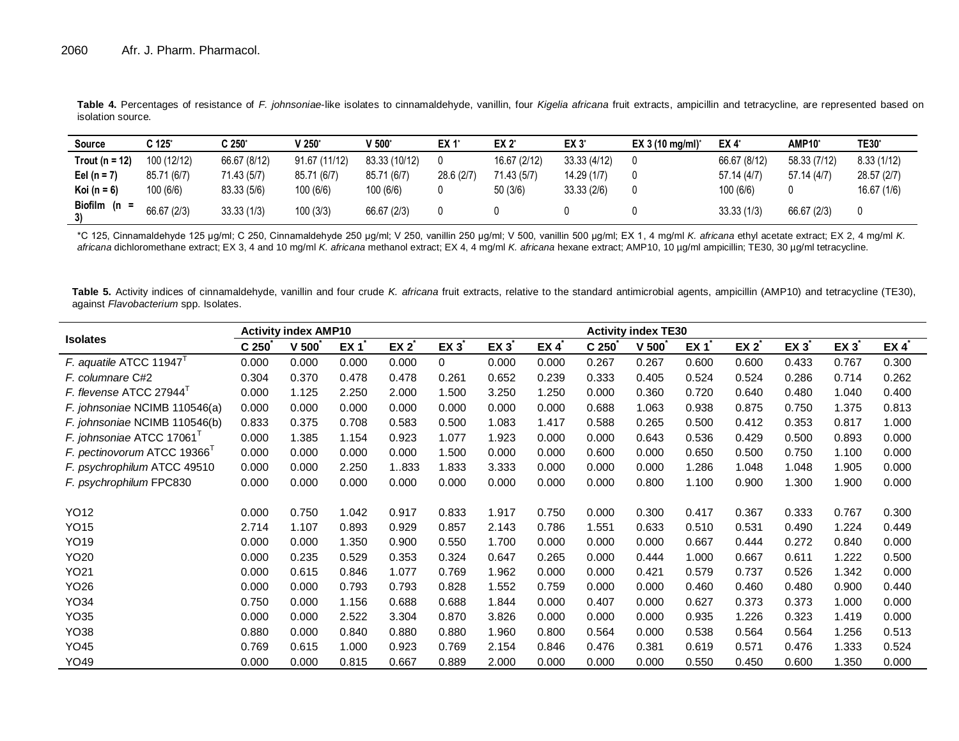| <b>Source</b>    | C 125*      | C 250*       | $V 250^{\circ}$ | V 500 $^{\circ}$ | EX 1*     | EX 2*        | EX 3         | EX 3 (10 mg/ml) <sup>*</sup> | EX 4*        | AMP10 <sup>*</sup> | <b>TE30</b> * |
|------------------|-------------|--------------|-----------------|------------------|-----------|--------------|--------------|------------------------------|--------------|--------------------|---------------|
| Trout (n = 12)   | 100 (12/12) | 66.67 (8/12) | 91.67 (11/12)   | 83.33 (10/12)    |           | 16.67 (2/12) | 33.33 (4/12) |                              | 66.67 (8/12) | 58.33 (7/12)       | 8.33(1/12)    |
| Eel (n = $7'$    | 85.71 (6/7) | 71.43 (5/7)  | 85.71 (6/7)     | 85.71 (6/7)      | 28.6(2/7) | 71.43 (5/7)  | 14.29 (1/7)  |                              | 57.14(4/7)   | 57.14 (4/7)        | 28.57 (2/7)   |
| Koi (n = $6$ )   | 100(6/6)    | 83.33 (5/6)  | 100(6/6)        | 100(6/6)         |           | 50(3/6)      | 33.33(2/6)   |                              | 100(6/6)     |                    | 16.67 (1/6)   |
| Biofilm (n<br>3) | 66.67 (2/3) | 33.33(1/3)   | 100(3/3)        | 66.67 (2/3)      |           |              |              |                              | 33.33(1/3)   | 66.67 (2/3)        | 0             |

**Table 4.** Percentages of resistance of *F. johnsoniae*-like isolates to cinnamaldehyde, vanillin, four *Kigelia africana* fruit extracts, ampicillin and tetracycline, are represented based on isolation source.

\*C 125, Cinnamaldehyde 125 μg/ml; C 250, Cinnamaldehyde 250 μg/ml; V 250, vanillin 250 μg/ml; V 500, vanillin 500 μg/ml; EX 1, 4 mg/ml *K. africana* ethyl acetate extract; EX 2, 4 mg/ml *K. africana* dichloromethane extract; EX 3, 4 and 10 mg/ml *K. africana* methanol extract; EX 4, 4 mg/ml *K. africana* hexane extract; AMP10, 10 µg/ml ampicillin; TE30, 30 µg/ml tetracycline.

Table 5. Activity indices of cinnamaldehyde, vanillin and four crude *K. africana* fruit extracts, relative to the standard antimicrobial agents, ampicillin (AMP10) and tetracycline (TE30), against *Flavobacterium* spp. Isolates.

|                                     |                  | <b>Activity index AMP10</b> |       |                  |          |       |       | <b>Activity index TE30</b> |                     |       |                 |          |       |       |
|-------------------------------------|------------------|-----------------------------|-------|------------------|----------|-------|-------|----------------------------|---------------------|-------|-----------------|----------|-------|-------|
| <b>Isolates</b>                     | C <sub>250</sub> | $V$ 500 $V$                 | EX 1  | $EX 2^{\degree}$ | EX 3     | EX 3  | EX 4  | C <sub>250</sub>           | $V$ 500 $\tilde{C}$ | EX 1  | EX <sub>2</sub> | $EX 3^*$ | EX 3  | EX 4  |
| F. aquatile ATCC 11947 <sup>T</sup> | 0.000            | 0.000                       | 0.000 | 0.000            | $\Omega$ | 0.000 | 0.000 | 0.267                      | 0.267               | 0.600 | 0.600           | 0.433    | 0.767 | 0.300 |
| F. columnare C#2                    | 0.304            | 0.370                       | 0.478 | 0.478            | 0.261    | 0.652 | 0.239 | 0.333                      | 0.405               | 0.524 | 0.524           | 0.286    | 0.714 | 0.262 |
| F. flevense ATCC 27944              | 0.000            | 1.125                       | 2.250 | 2.000            | 1.500    | 3.250 | 1.250 | 0.000                      | 0.360               | 0.720 | 0.640           | 0.480    | 1.040 | 0.400 |
| F. johnsoniae NCIMB 110546(a)       | 0.000            | 0.000                       | 0.000 | 0.000            | 0.000    | 0.000 | 0.000 | 0.688                      | 1.063               | 0.938 | 0.875           | 0.750    | 1.375 | 0.813 |
| F. johnsoniae NCIMB 110546(b)       | 0.833            | 0.375                       | 0.708 | 0.583            | 0.500    | 1.083 | 1.417 | 0.588                      | 0.265               | 0.500 | 0.412           | 0.353    | 0.817 | 1.000 |
| F. johnsoniae ATCC 17061            | 0.000            | 1.385                       | 1.154 | 0.923            | 1.077    | 1.923 | 0.000 | 0.000                      | 0.643               | 0.536 | 0.429           | 0.500    | 0.893 | 0.000 |
| F. pectinovorum ATCC 19366          | 0.000            | 0.000                       | 0.000 | 0.000            | 1.500    | 0.000 | 0.000 | 0.600                      | 0.000               | 0.650 | 0.500           | 0.750    | 1.100 | 0.000 |
| F. psychrophilum ATCC 49510         | 0.000            | 0.000                       | 2.250 | 1.833            | 1.833    | 3.333 | 0.000 | 0.000                      | 0.000               | 1.286 | 1.048           | 1.048    | 1.905 | 0.000 |
| F. psychrophilum FPC830             | 0.000            | 0.000                       | 0.000 | 0.000            | 0.000    | 0.000 | 0.000 | 0.000                      | 0.800               | 1.100 | 0.900           | 1.300    | 1.900 | 0.000 |
|                                     |                  |                             |       |                  |          |       |       |                            |                     |       |                 |          |       |       |
| YO12                                | 0.000            | 0.750                       | 1.042 | 0.917            | 0.833    | 1.917 | 0.750 | 0.000                      | 0.300               | 0.417 | 0.367           | 0.333    | 0.767 | 0.300 |
| <b>YO15</b>                         | 2.714            | 1.107                       | 0.893 | 0.929            | 0.857    | 2.143 | 0.786 | 1.551                      | 0.633               | 0.510 | 0.531           | 0.490    | 1.224 | 0.449 |
| <b>YO19</b>                         | 0.000            | 0.000                       | 1.350 | 0.900            | 0.550    | 1.700 | 0.000 | 0.000                      | 0.000               | 0.667 | 0.444           | 0.272    | 0.840 | 0.000 |
| YO20                                | 0.000            | 0.235                       | 0.529 | 0.353            | 0.324    | 0.647 | 0.265 | 0.000                      | 0.444               | 1.000 | 0.667           | 0.611    | 1.222 | 0.500 |
| YO21                                | 0.000            | 0.615                       | 0.846 | 1.077            | 0.769    | 1.962 | 0.000 | 0.000                      | 0.421               | 0.579 | 0.737           | 0.526    | 1.342 | 0.000 |
| YO26                                | 0.000            | 0.000                       | 0.793 | 0.793            | 0.828    | 1.552 | 0.759 | 0.000                      | 0.000               | 0.460 | 0.460           | 0.480    | 0.900 | 0.440 |
| YO34                                | 0.750            | 0.000                       | 1.156 | 0.688            | 0.688    | 1.844 | 0.000 | 0.407                      | 0.000               | 0.627 | 0.373           | 0.373    | 1.000 | 0.000 |
| YO35                                | 0.000            | 0.000                       | 2.522 | 3.304            | 0.870    | 3.826 | 0.000 | 0.000                      | 0.000               | 0.935 | 1.226           | 0.323    | 1.419 | 0.000 |
| YO38                                | 0.880            | 0.000                       | 0.840 | 0.880            | 0.880    | 1.960 | 0.800 | 0.564                      | 0.000               | 0.538 | 0.564           | 0.564    | 1.256 | 0.513 |
| <b>YO45</b>                         | 0.769            | 0.615                       | 1.000 | 0.923            | 0.769    | 2.154 | 0.846 | 0.476                      | 0.381               | 0.619 | 0.571           | 0.476    | 1.333 | 0.524 |
| YO49                                | 0.000            | 0.000                       | 0.815 | 0.667            | 0.889    | 2.000 | 0.000 | 0.000                      | 0.000               | 0.550 | 0.450           | 0.600    | 1.350 | 0.000 |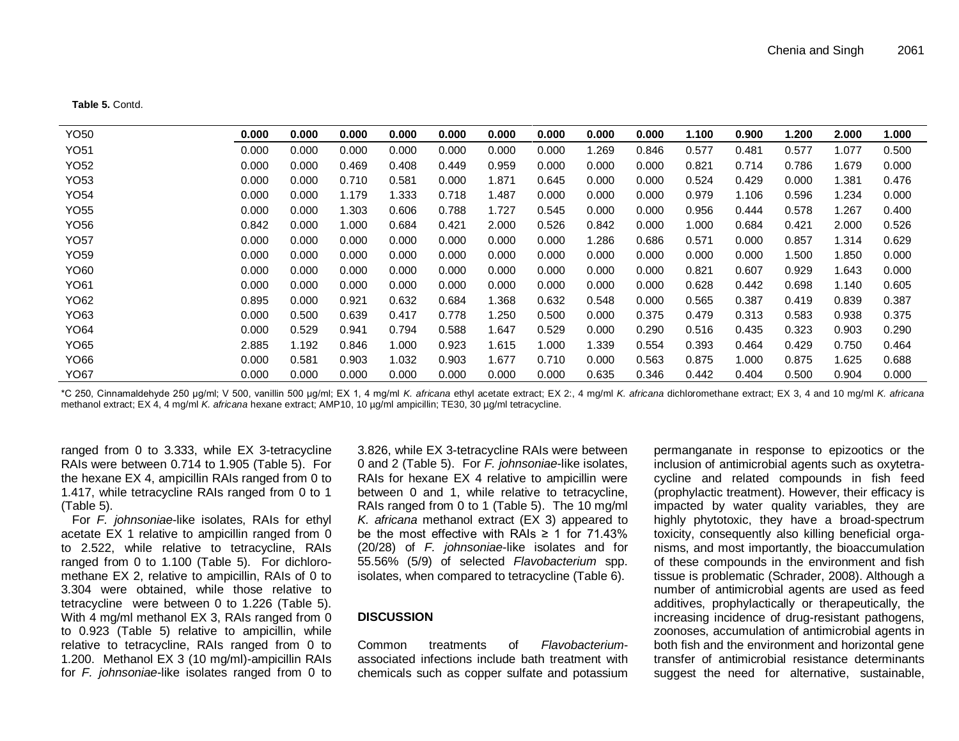**Table 5.** Contd.

| YO50        | 0.000 | 0.000 | 0.000 | 0.000 | 0.000 | 0.000 | 0.000 | 0.000 | 0.000 | 1.100 | 0.900 | 200.ا | 2.000 | 000. ا |
|-------------|-------|-------|-------|-------|-------|-------|-------|-------|-------|-------|-------|-------|-------|--------|
| YO51        | 0.000 | 0.000 | 0.000 | 0.000 | 0.000 | 0.000 | 0.000 | 1.269 | 0.846 | 0.577 | 0.481 | 0.577 | 1.077 | 0.500  |
| YO52        | 0.000 | 0.000 | 0.469 | 0.408 | 0.449 | 0.959 | 0.000 | 0.000 | 0.000 | 0.821 | 0.714 | 0.786 | .679  | 0.000  |
| YO53        | 0.000 | 0.000 | 0.710 | 0.581 | 0.000 | 1.871 | 0.645 | 0.000 | 0.000 | 0.524 | 0.429 | 0.000 | .381  | 0.476  |
| YO54        | 0.000 | 0.000 | 1.179 | .333  | 0.718 | 1.487 | 0.000 | 0.000 | 0.000 | 0.979 | 1.106 | 0.596 | .234  | 0.000  |
| YO55        | 0.000 | 0.000 | 1.303 | 0.606 | 0.788 | 1.727 | 0.545 | 0.000 | 0.000 | 0.956 | 0.444 | 0.578 | .267  | 0.400  |
| YO56        | 0.842 | 0.000 | .000  | 0.684 | 0.421 | 2.000 | 0.526 | 0.842 | 0.000 | 1.000 | 0.684 | 0.421 | 2.000 | 0.526  |
| <b>YO57</b> | 0.000 | 0.000 | 0.000 | 0.000 | 0.000 | 0.000 | 0.000 | 1.286 | 0.686 | 0.571 | 0.000 | 0.857 | 1.314 | 0.629  |
| YO59        | 0.000 | 0.000 | 0.000 | 0.000 | 0.000 | 0.000 | 0.000 | 0.000 | 0.000 | 0.000 | 0.000 | 1.500 | l.850 | 0.000  |
| YO60        | 0.000 | 0.000 | 0.000 | 0.000 | 0.000 | 0.000 | 0.000 | 0.000 | 0.000 | 0.821 | 0.607 | 0.929 | 1.643 | 0.000  |
| YO61        | 0.000 | 0.000 | 0.000 | 0.000 | 0.000 | 0.000 | 0.000 | 0.000 | 0.000 | 0.628 | 0.442 | 0.698 | 1.140 | 0.605  |
| YO62        | 0.895 | 0.000 | 0.921 | 0.632 | 0.684 | 1.368 | 0.632 | 0.548 | 0.000 | 0.565 | 0.387 | 0.419 | 0.839 | 0.387  |
| YO63        | 0.000 | 0.500 | 0.639 | 0.417 | 0.778 | 1.250 | 0.500 | 0.000 | 0.375 | 0.479 | 0.313 | 0.583 | 0.938 | 0.375  |
| YO64        | 0.000 | 0.529 | 0.941 | 0.794 | 0.588 | 1.647 | 0.529 | 0.000 | 0.290 | 0.516 | 0.435 | 0.323 | 0.903 | 0.290  |
| YO65        | 2.885 | 1.192 | 0.846 | 1.000 | 0.923 | 1.615 | 1.000 | 1.339 | 0.554 | 0.393 | 0.464 | 0.429 | 0.750 | 0.464  |
| YO66        | 0.000 | 0.581 | 0.903 | 1.032 | 0.903 | 1.677 | 0.710 | 0.000 | 0.563 | 0.875 | 1.000 | 0.875 | 1.625 | 0.688  |
| YO67        | 0.000 | 0.000 | 0.000 | 0.000 | 0.000 | 0.000 | 0.000 | 0.635 | 0.346 | 0.442 | 0.404 | 0.500 | 0.904 | 0.000  |

\*C 250, Cinnamaldehyde 250 μg/ml; V 500, vanillin 500 μg/ml; EX 1, 4 mg/ml *K. africana* ethyl acetate extract; EX 2:, 4 mg/ml *K. africana* dichloromethane extract; EX 3, 4 and 10 mg/ml *K. africana* methanol extract; EX 4, 4 mg/ml *K. africana* hexane extract; AMP10, 10 µg/ml ampicillin; TE30, 30 µg/ml tetracycline.

ranged from 0 to 3.333, while EX 3-tetracycline RAIs were between 0.714 to 1.905 (Table 5). For the hexane EX 4, ampicillin RAIs ranged from 0 to 1.417, while tetracycline RAIs ranged from 0 to 1 (Table 5).

For *F. johnsoniae*-like isolates, RAIs for ethyl acetate EX 1 relative to ampicillin ranged from 0 to 2.522, while relative to tetracycline, RAIs ranged from 0 to 1.100 (Table 5). For dichloromethane EX 2, relative to ampicillin, RAIs of 0 to 3.304 were obtained, while those relative to tetracycline were between 0 to 1.226 (Table 5). With 4 mg/ml methanol EX 3, RAIs ranged from 0 to 0.923 (Table 5) relative to ampicillin, while relative to tetracycline, RAIs ranged from 0 to 1.200. Methanol EX 3 (10 mg/ml)-ampicillin RAIs for *F. johnsoniae*-like isolates ranged from 0 to

3.826, while EX 3-tetracycline RAIs were between 0 and 2 (Table 5). For *F. johnsoniae*-like isolates, RAIs for hexane EX 4 relative to ampicillin were between 0 and 1, while relative to tetracycline, RAIs ranged from 0 to 1 (Table 5). The 10 mg/ml *K. africana* methanol extract (EX 3) appeared to be the most effective with RAIs  $\geq$  1 for 71.43% (20/28) of *F. johnsoniae*-like isolates and for 55.56% (5/9) of selected *Flavobacterium* spp. isolates, when compared to tetracycline (Table 6).

#### **DISCUSSION**

Common treatments of *Flavobacterium*associated infections include bath treatment with chemicals such as copper sulfate and potassium

permanganate in response to epizootics or the inclusion of antimicrobial agents such as oxytetracycline and related compounds in fish feed (prophylactic treatment). However, their efficacy is impacted by water quality variables, they are highly phytotoxic, they have a broad-spectrum toxicity, consequently also killing beneficial organisms, and most importantly, the bioaccumulation of these compounds in the environment and fish tissue is problematic (Schrader, 2008). Although a number of antimicrobial agents are used as feed additives, prophylactically or therapeutically, the increasing incidence of drug-resistant pathogens, zoonoses, accumulation of antimicrobial agents in both fish and the environment and horizontal gene transfer of antimicrobial resistance determinants suggest the need for alternative, sustainable,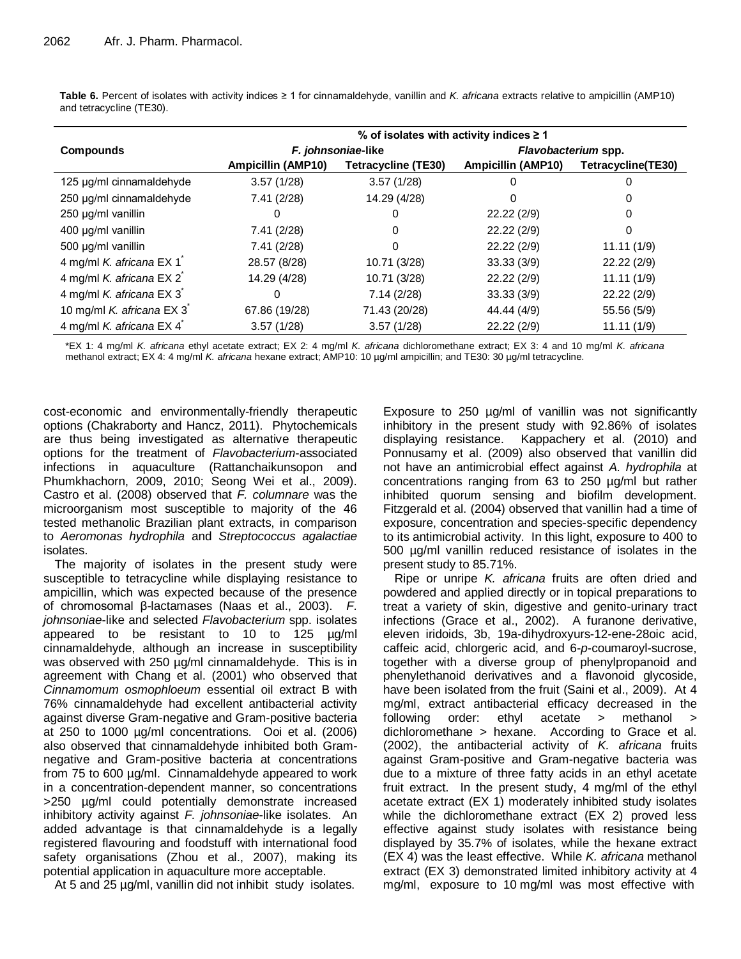**Table 6.** Percent of isolates with activity indices ≥ 1 for cinnamaldehyde, vanillin and *K. africana* extracts relative to ampicillin (AMP10) and tetracycline (TE30).

|                           | % of isolates with activity indices $\geq 1$ |                            |                           |                    |  |  |  |  |  |  |  |
|---------------------------|----------------------------------------------|----------------------------|---------------------------|--------------------|--|--|--|--|--|--|--|
| <b>Compounds</b>          |                                              | F. johnsoniae-like         | Flavobacterium spp.       |                    |  |  |  |  |  |  |  |
|                           | <b>Ampicillin (AMP10)</b>                    | <b>Tetracycline (TE30)</b> | <b>Ampicillin (AMP10)</b> | Tetracycline(TE30) |  |  |  |  |  |  |  |
| 125 µg/ml cinnamaldehyde  | 3.57(1/28)                                   | 3.57(1/28)                 | 0                         |                    |  |  |  |  |  |  |  |
| 250 µg/ml cinnamaldehyde  | 7.41 (2/28)                                  | 14.29 (4/28)               | 0                         |                    |  |  |  |  |  |  |  |
| 250 µg/ml vanillin        |                                              |                            | 22.22(2/9)                |                    |  |  |  |  |  |  |  |
| 400 µg/ml vanillin        | 7.41 (2/28)                                  | 0                          | 22.22(2/9)                |                    |  |  |  |  |  |  |  |
| 500 µg/ml vanillin        | 7.41(2/28)                                   | O                          | 22.22 (2/9)               | 11.11(1/9)         |  |  |  |  |  |  |  |
| 4 mg/ml K. africana EX 1  | 28.57 (8/28)                                 | 10.71 (3/28)               | 33.33(3/9)                | 22.22(2/9)         |  |  |  |  |  |  |  |
| 4 mg/ml K. africana EX 2  | 14.29 (4/28)                                 | 10.71 (3/28)               | 22.22(2/9)                | 11.11(1/9)         |  |  |  |  |  |  |  |
| 4 mg/ml K. africana EX 3  |                                              | 7.14(2/28)                 | 33.33(3/9)                | 22.22(2/9)         |  |  |  |  |  |  |  |
| 10 mg/ml K. africana EX 3 | 67.86 (19/28)                                | 71.43 (20/28)              | 44.44 (4/9)               | 55.56 (5/9)        |  |  |  |  |  |  |  |
| 4 mg/ml K. africana EX 4  | 3.57(1/28)                                   | 3.57(1/28)                 | 22.22 (2/9)               | 11.11(1/9)         |  |  |  |  |  |  |  |

\*EX 1: 4 mg/ml *K. africana* ethyl acetate extract; EX 2: 4 mg/ml *K. africana* dichloromethane extract; EX 3: 4 and 10 mg/ml *K. africana* methanol extract; EX 4: 4 mg/ml *K. africana* hexane extract; AMP10: 10 µg/ml ampicillin; and TE30: 30 µg/ml tetracycline.

cost-economic and environmentally-friendly therapeutic options (Chakraborty and Hancz, 2011). Phytochemicals are thus being investigated as alternative therapeutic options for the treatment of *Flavobacterium*-associated infections in aquaculture (Rattanchaikunsopon and Phumkhachorn, 2009, 2010; Seong Wei et al., 2009). Castro et al. (2008) observed that *F. columnare* was the microorganism most susceptible to majority of the 46 tested methanolic Brazilian plant extracts, in comparison to *Aeromonas hydrophila* and *Streptococcus agalactiae* isolates.

The majority of isolates in the present study were susceptible to tetracycline while displaying resistance to ampicillin, which was expected because of the presence of chromosomal β-lactamases (Naas et al., 2003). *F. johnsoniae*-like and selected *Flavobacterium* spp. isolates appeared to be resistant to 10 to 125 µg/ml cinnamaldehyde, although an increase in susceptibility was observed with 250 µg/ml cinnamaldehyde. This is in agreement with Chang et al. (2001) who observed that *Cinnamomum osmophloeum* essential oil extract B with 76% cinnamaldehyde had excellent antibacterial activity against diverse Gram-negative and Gram-positive bacteria at 250 to 1000 µg/ml concentrations. Ooi et al. (2006) also observed that cinnamaldehyde inhibited both Gramnegative and Gram-positive bacteria at concentrations from 75 to 600 µg/ml. Cinnamaldehyde appeared to work in a concentration-dependent manner, so concentrations >250 µg/ml could potentially demonstrate increased inhibitory activity against *F. johnsoniae*-like isolates. An added advantage is that cinnamaldehyde is a legally registered flavouring and foodstuff with international food safety organisations (Zhou et al., 2007), making its potential application in aquaculture more acceptable.

At 5 and 25 µg/ml, vanillin did not inhibit study isolates.

Exposure to 250 µg/ml of vanillin was not significantly inhibitory in the present study with 92.86% of isolates displaying resistance. Kappachery et al. (2010) and Ponnusamy et al. (2009) also observed that vanillin did not have an antimicrobial effect against *A. hydrophila* at concentrations ranging from 63 to 250 µg/ml but rather inhibited quorum sensing and biofilm development. Fitzgerald et al. (2004) observed that vanillin had a time of exposure, concentration and species-specific dependency to its antimicrobial activity. In this light, exposure to 400 to 500 µg/ml vanillin reduced resistance of isolates in the present study to 85.71%.

Ripe or unripe *K. africana* fruits are often dried and powdered and applied directly or in topical preparations to treat a variety of skin, digestive and genito-urinary tract infections (Grace et al., 2002). A furanone derivative, eleven iridoids, 3b, 19a-dihydroxyurs-12-ene-28oic acid, caffeic acid, chlorgeric acid, and 6-*p*-coumaroyl-sucrose, together with a diverse group of phenylpropanoid and phenylethanoid derivatives and a flavonoid glycoside, have been isolated from the fruit (Saini et al., 2009). At 4 mg/ml, extract antibacterial efficacy decreased in the following order: ethyl acetate > methanol > dichloromethane > hexane. According to Grace et al. (2002), the antibacterial activity of *K. africana* fruits against Gram-positive and Gram-negative bacteria was due to a mixture of three fatty acids in an ethyl acetate fruit extract. In the present study, 4 mg/ml of the ethyl acetate extract (EX 1) moderately inhibited study isolates while the dichloromethane extract (EX 2) proved less effective against study isolates with resistance being displayed by 35.7% of isolates, while the hexane extract (EX 4) was the least effective. While *K. africana* methanol extract (EX 3) demonstrated limited inhibitory activity at 4 mg/ml, exposure to 10 mg/ml was most effective with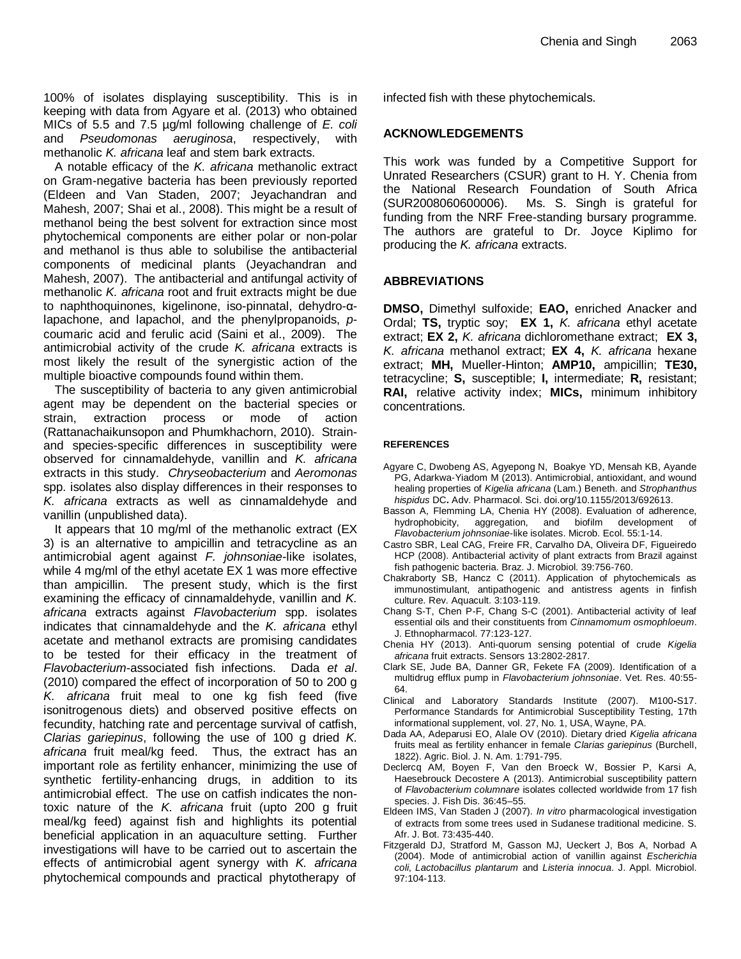100% of isolates displaying susceptibility. This is in keeping with data from Agyare et al. (2013) who obtained MICs of 5.5 and 7.5 µg/ml following challenge of *E. coli* and *Pseudomonas aeruginosa*, respectively, with methanolic *K. africana* leaf and stem bark extracts.

A notable efficacy of the *K. africana* methanolic extract on Gram-negative bacteria has been previously reported (Eldeen and Van Staden, 2007; Jeyachandran and Mahesh, 2007; Shai et al., 2008). This might be a result of methanol being the best solvent for extraction since most phytochemical components are either polar or non-polar and methanol is thus able to solubilise the antibacterial components of medicinal plants (Jeyachandran and Mahesh, 2007). The antibacterial and antifungal activity of methanolic *K. africana* root and fruit extracts might be due to naphthoquinones, kigelinone, iso-pinnatal, dehydro-αlapachone, and lapachol, and the phenylpropanoids, *p*coumaric acid and ferulic acid (Saini et al., 2009). The antimicrobial activity of the crude *K. africana* extracts is most likely the result of the synergistic action of the multiple bioactive compounds found within them.

The susceptibility of bacteria to any given antimicrobial agent may be dependent on the bacterial species or strain, extraction process or mode of action (Rattanachaikunsopon and Phumkhachorn, 2010). Strainand species-specific differences in susceptibility were observed for cinnamaldehyde, vanillin and *K. africana* extracts in this study. *Chryseobacterium* and *Aeromonas* spp. isolates also display differences in their responses to *K. africana* extracts as well as cinnamaldehyde and vanillin (unpublished data).

It appears that 10 mg/ml of the methanolic extract (EX 3) is an alternative to ampicillin and tetracycline as an antimicrobial agent against *F. johnsoniae*-like isolates, while 4 mg/ml of the ethyl acetate EX 1 was more effective than ampicillin. The present study, which is the first examining the efficacy of cinnamaldehyde, vanillin and *K. africana* extracts against *Flavobacterium* spp. isolates indicates that cinnamaldehyde and the *K. africana* ethyl acetate and methanol extracts are promising candidates to be tested for their efficacy in the treatment of *Flavobacterium*-associated fish infections. Dada *et al*. (2010) compared the effect of incorporation of 50 to 200 g *K. africana* fruit meal to one kg fish feed (five isonitrogenous diets) and observed positive effects on fecundity, hatching rate and percentage survival of catfish, *Clarias gariepinus*, following the use of 100 g dried *K. africana* fruit meal/kg feed. Thus, the extract has an important role as fertility enhancer, minimizing the use of synthetic fertility-enhancing drugs, in addition to its antimicrobial effect. The use on catfish indicates the nontoxic nature of the *K. africana* fruit (upto 200 g fruit meal/kg feed) against fish and highlights its potential beneficial application in an aquaculture setting. Further investigations will have to be carried out to ascertain the effects of antimicrobial agent synergy with *K. africana* phytochemical compounds and practical phytotherapy of

infected fish with these phytochemicals.

# **ACKNOWLEDGEMENTS**

This work was funded by a Competitive Support for Unrated Researchers (CSUR) grant to H. Y. Chenia from the National Research Foundation of South Africa (SUR2008060600006). Ms. S. Singh is grateful for funding from the NRF Free-standing bursary programme. The authors are grateful to Dr. Joyce Kiplimo for producing the *K. africana* extracts.

# **ABBREVIATIONS**

**DMSO,** Dimethyl sulfoxide; **EAO,** enriched Anacker and Ordal; **TS,** tryptic soy; **EX 1,** *K. africana* ethyl acetate extract; **EX 2,** *K. africana* dichloromethane extract; **EX 3,** *K. africana* methanol extract; **EX 4,** *K. africana* hexane extract; **MH,** Mueller-Hinton; **AMP10,** ampicillin; **TE30,**  tetracycline; **S,** susceptible; **I,** intermediate; **R,** resistant; **RAI,** relative activity index; **MICs,** minimum inhibitory concentrations.

#### **REFERENCES**

- Agyare C, Dwobeng AS, Agyepong N, Boakye YD, Mensah KB, Ayande PG, Adarkwa-Yiadom M (2013). Antimicrobial, antioxidant, and wound healing properties of *Kigelia africana* (Lam.) Beneth. and *Strophanthus hispidus* DC**.** Adv. Pharmacol. Sci. doi.org/10.1155/2013/692613.
- Basson A, Flemming LA, Chenia HY (2008). Evaluation of adherence, hydrophobicity, aggregation, and biofilm development of *Flavobacterium johnsoniae*-like isolates. Microb. Ecol. 55:1-14.
- Castro SBR, Leal CAG, Freire FR, Carvalho DA, Oliveira DF, Figueiredo HCP (2008). Antibacterial activity of plant extracts from Brazil against fish pathogenic bacteria. Braz. J. Microbiol. 39:756-760.
- Chakraborty SB, Hancz C (2011). Application of phytochemicals as immunostimulant, antipathogenic and antistress agents in finfish culture. Rev. Aquacult. 3:103-119.
- Chang S-T, Chen P-F, Chang S-C (2001). Antibacterial activity of leaf essential oils and their constituents from *Cinnamomum osmophloeum*. J. Ethnopharmacol. 77:123-127.
- Chenia HY (2013). Anti-quorum sensing potential of crude *Kigelia africana* fruit extracts. Sensors 13:2802-2817.
- Clark SE, Jude BA, Danner GR, Fekete FA (2009). Identification of a multidrug efflux pump in *Flavobacterium johnsoniae*. Vet. Res. 40:55- 64.
- Clinical and Laboratory Standards Institute (2007). M100**-**S17. Performance Standards for Antimicrobial Susceptibility Testing, 17th informational supplement, vol. 27, No. 1, USA, Wayne, PA.
- Dada AA, Adeparusi EO, Alale OV (2010). Dietary dried *Kigelia africana* fruits meal as fertility enhancer in female *Clarias gariepinus* (BurchelI, 1822). Agric. Biol. J. N. Am. 1:791-795.
- Declercq AM, Boyen F, Van den Broeck W, Bossier P, Karsi A, Haesebrouck Decostere A (2013). Antimicrobial susceptibility pattern of *Flavobacterium columnare* isolates collected worldwide from 17 fish species. J. Fish Dis. 36:45–55.
- Eldeen IMS, Van Staden J (2007). *In vitro* pharmacological investigation of extracts from some trees used in Sudanese traditional medicine. S. Afr. J. Bot. 73:435-440.
- Fitzgerald DJ, Stratford M, Gasson MJ, Ueckert J, Bos A, Norbad A (2004). Mode of antimicrobial action of vanillin against *Escherichia coli*, *Lactobacillus plantarum* and *Listeria innocua*. J. Appl. Microbiol. 97:104-113.